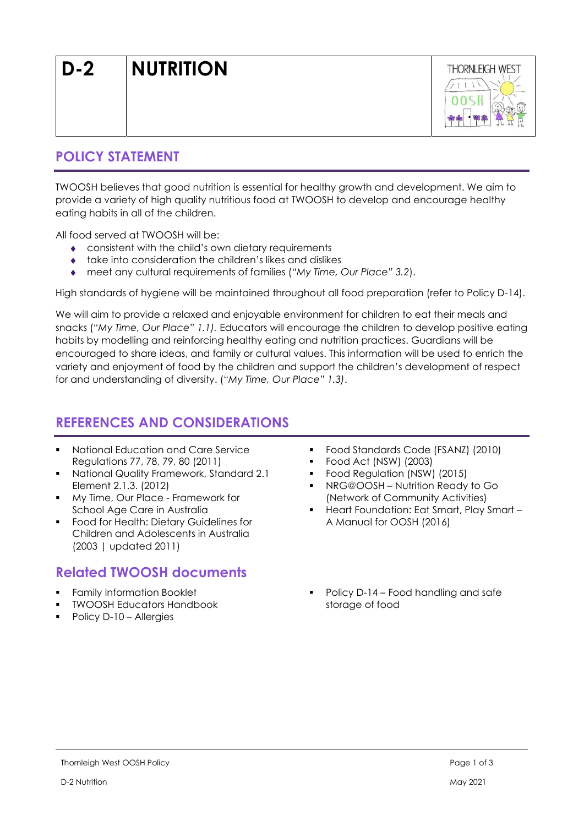

## POLICY STATEMENT

TWOOSH believes that good nutrition is essential for healthy growth and development. We aim to provide a variety of high quality nutritious food at TWOOSH to develop and encourage healthy eating habits in all of the children.

All food served at TWOOSH will be:

- consistent with the child's own dietary requirements
- take into consideration the children's likes and dislikes
- meet any cultural requirements of families ("My Time, Our Place" 3.2).

High standards of hygiene will be maintained throughout all food preparation (refer to Policy D-14).

We will aim to provide a relaxed and enjoyable environment for children to eat their meals and snacks ("My Time, Our Place" 1.1). Educators will encourage the children to develop positive eating habits by modelling and reinforcing healthy eating and nutrition practices. Guardians will be encouraged to share ideas, and family or cultural values. This information will be used to enrich the variety and enjoyment of food by the children and support the children's development of respect for and understanding of diversity. ("My Time, Our Place" 1.3).

# REFERENCES AND CONSIDERATIONS

- National Education and Care Service Regulations 77, 78, 79, 80 (2011)
- National Quality Framework, Standard 2.1 Element 2.1.3. (2012)
- **My Time, Our Place Framework for** School Age Care in Australia
- **Food for Health: Dietary Guidelines for** Children and Adolescents in Australia (2003 | updated 2011)

# Related TWOOSH documents

- Family Information Booklet
- **TWOOSH Educators Handbook**
- Policy D-10 Allergies
- Food Standards Code (FSANZ) (2010)
- Food Act (NSW) (2003)
- Food Regulation (NSW) (2015)
- NRG@OOSH Nutrition Ready to Go (Network of Community Activities)
- Heart Foundation: Eat Smart, Play Smart A Manual for OOSH (2016)
- Policy D-14 Food handling and safe storage of food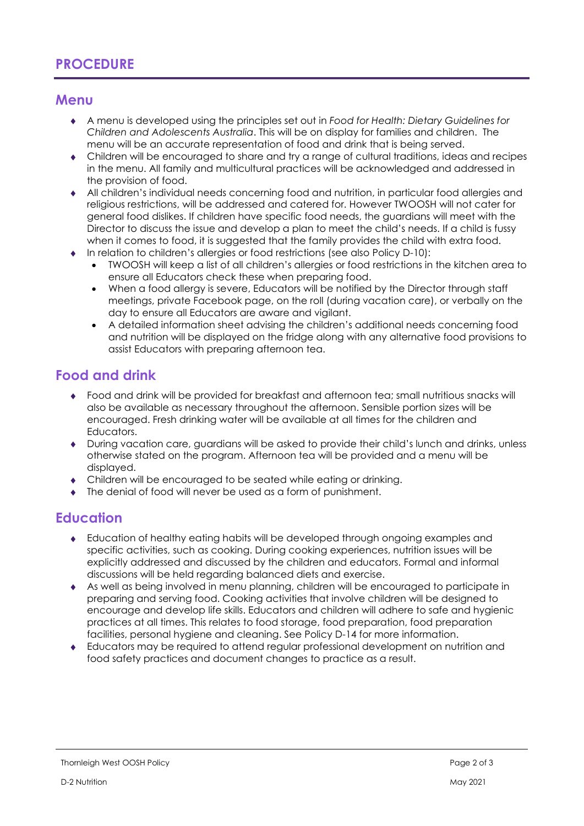# **PROCEDURE**

#### **Menu**

- A menu is developed using the principles set out in Food for Health: Dietary Guidelines for Children and Adolescents Australia. This will be on display for families and children. The menu will be an accurate representation of food and drink that is being served.
- Children will be encouraged to share and try a range of cultural traditions, ideas and recipes in the menu. All family and multicultural practices will be acknowledged and addressed in the provision of food.
- All children's individual needs concerning food and nutrition, in particular food allergies and religious restrictions, will be addressed and catered for. However TWOOSH will not cater for general food dislikes. If children have specific food needs, the guardians will meet with the Director to discuss the issue and develop a plan to meet the child's needs. If a child is fussy when it comes to food, it is suggested that the family provides the child with extra food.
- In relation to children's allergies or food restrictions (see also Policy D-10):
	- TWOOSH will keep a list of all children's allergies or food restrictions in the kitchen area to ensure all Educators check these when preparing food.
	- When a food allergy is severe, Educators will be notified by the Director through staff meetings, private Facebook page, on the roll (during vacation care), or verbally on the day to ensure all Educators are aware and vigilant.
	- A detailed information sheet advising the children's additional needs concerning food and nutrition will be displayed on the fridge along with any alternative food provisions to assist Educators with preparing afternoon tea.

### Food and drink

- Food and drink will be provided for breakfast and afternoon tea; small nutritious snacks will also be available as necessary throughout the afternoon. Sensible portion sizes will be encouraged. Fresh drinking water will be available at all times for the children and Educators.
- During vacation care, guardians will be asked to provide their child's lunch and drinks, unless otherwise stated on the program. Afternoon tea will be provided and a menu will be displayed.
- Children will be encouraged to be seated while eating or drinking.
- The denial of food will never be used as a form of punishment.

### **Education**

- Education of healthy eating habits will be developed through ongoing examples and specific activities, such as cooking. During cooking experiences, nutrition issues will be explicitly addressed and discussed by the children and educators. Formal and informal discussions will be held regarding balanced diets and exercise.
- As well as being involved in menu planning, children will be encouraged to participate in preparing and serving food. Cooking activities that involve children will be designed to encourage and develop life skills. Educators and children will adhere to safe and hygienic practices at all times. This relates to food storage, food preparation, food preparation facilities, personal hygiene and cleaning. See Policy D-14 for more information.
- Educators may be required to attend regular professional development on nutrition and food safety practices and document changes to practice as a result.